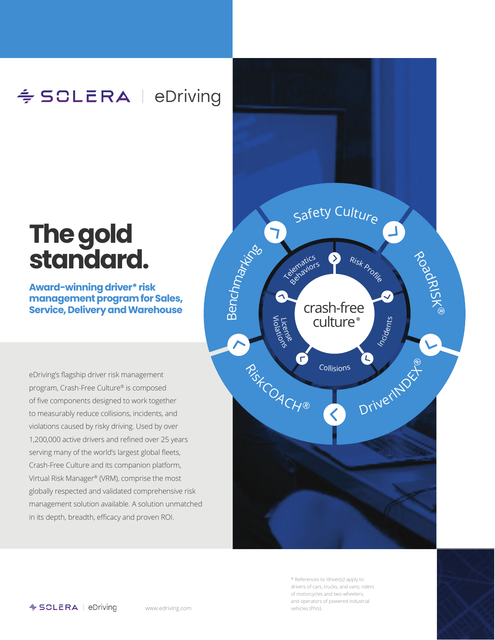## ≑ SCLERA | eDriving

# **The gold standard.**

#### **Award-winning driver\* risk management program for Sales, Service, Delivery and Warehouse**

eDriving's flagship driver risk management program, Crash-Free Culture® is composed of five components designed to work together to measurably reduce collisions, incidents, and violations caused by risky driving. Used by over 1,200,000 active drivers and refined over 25 years serving many of the world's largest global fleets, Crash-Free Culture and its companion platform, Virtual Risk Manager® (VRM), comprise the most globally respected and validated comprehensive risk management solution available. A solution unmatched in its depth, breadth, efficacy and proven ROI.



\* References to 'driver(s)' apply to drivers of cars, trucks, and vans; riders of motorcycles and two-wheelers; and operators of powered industrial vehicles (PIVs).